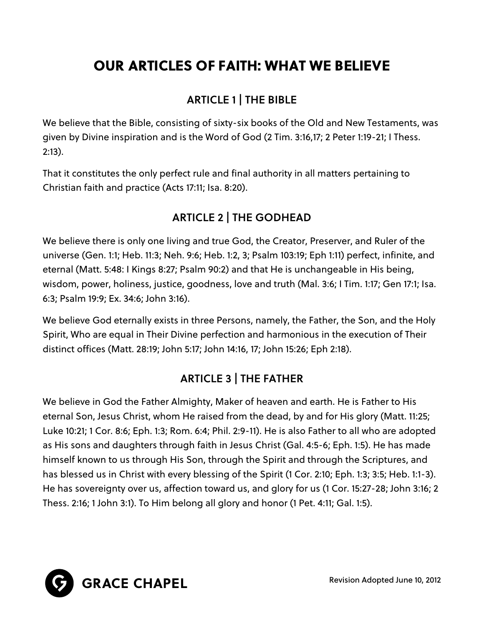# OUR ARTICLES OF FAITH: WHAT WE BELIEVE

## ARTICLE 1 | THE BIBLE

We believe that the Bible, consisting of sixty-six books of the Old and New Testaments, was given by Divine inspiration and is the Word of God (2 Tim. 3:16,17; 2 Peter 1:19-21; I Thess. 2:13).

That it constitutes the only perfect rule and final authority in all matters pertaining to Christian faith and practice (Acts 17:11; Isa. 8:20).

## ARTICLE 2 | THE GODHEAD

We believe there is only one living and true God, the Creator, Preserver, and Ruler of the universe (Gen. 1:1; Heb. 11:3; Neh. 9:6; Heb. 1:2, 3; Psalm 103:19; Eph 1:11) perfect, infinite, and eternal (Matt. 5:48: I Kings 8:27; Psalm 90:2) and that He is unchangeable in His being, wisdom, power, holiness, justice, goodness, love and truth (Mal. 3:6; I Tim. 1:17; Gen 17:1; Isa. 6:3; Psalm 19:9; Ex. 34:6; John 3:16).

We believe God eternally exists in three Persons, namely, the Father, the Son, and the Holy Spirit, Who are equal in Their Divine perfection and harmonious in the execution of Their distinct offices (Matt. 28:19; John 5:17; John 14:16, 17; John 15:26; Eph 2:18).

## ARTICLE 3 | THE FATHER

We believe in God the Father Almighty, Maker of heaven and earth. He is Father to His eternal Son, Jesus Christ, whom He raised from the dead, by and for His glory (Matt. 11:25; Luke 10:21; 1 Cor. 8:6; Eph. 1:3; Rom. 6:4; Phil. 2:9-11). He is also Father to all who are adopted as His sons and daughters through faith in Jesus Christ (Gal. 4:5-6; Eph. 1:5). He has made himself known to us through His Son, through the Spirit and through the Scriptures, and has blessed us in Christ with every blessing of the Spirit (1 Cor. 2:10; Eph. 1:3; 3:5; Heb. 1:1-3). He has sovereignty over us, affection toward us, and glory for us (1 Cor. 15:27-28; John 3:16; 2 Thess. 2:16; 1 John 3:1). To Him belong all glory and honor (1 Pet. 4:11; Gal. 1:5).



Revision Adopted June 10, 2012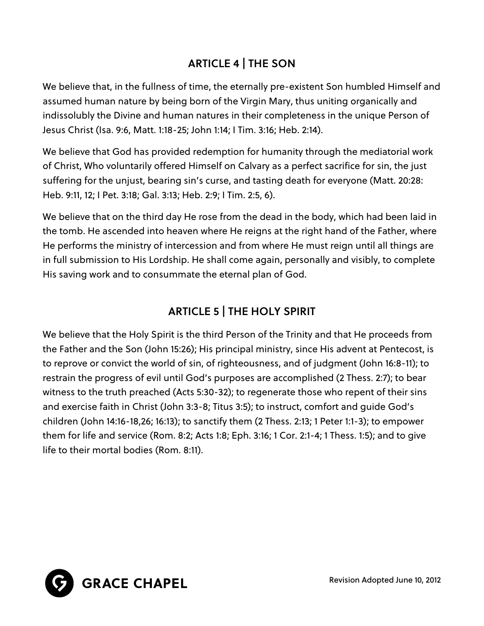## ARTICLE 4 | THE SON

We believe that, in the fullness of time, the eternally pre-existent Son humbled Himself and assumed human nature by being born of the Virgin Mary, thus uniting organically and indissolubly the Divine and human natures in their completeness in the unique Person of Jesus Christ (Isa. 9:6, Matt. 1:18-25; John 1:14; I Tim. 3:16; Heb. 2:14).

We believe that God has provided redemption for humanity through the mediatorial work of Christ, Who voluntarily offered Himself on Calvary as a perfect sacrifice for sin, the just suffering for the unjust, bearing sin's curse, and tasting death for everyone (Matt. 20:28: Heb. 9:11, 12; I Pet. 3:18; Gal. 3:13; Heb. 2:9; I Tim. 2:5, 6).

We believe that on the third day He rose from the dead in the body, which had been laid in the tomb. He ascended into heaven where He reigns at the right hand of the Father, where He performs the ministry of intercession and from where He must reign until all things are in full submission to His Lordship. He shall come again, personally and visibly, to complete His saving work and to consummate the eternal plan of God.

## ARTICLE 5 | THE HOLY SPIRIT

We believe that the Holy Spirit is the third Person of the Trinity and that He proceeds from the Father and the Son (John 15:26); His principal ministry, since His advent at Pentecost, is to reprove or convict the world of sin, of righteousness, and of judgment (John 16:8-11); to restrain the progress of evil until God's purposes are accomplished (2 Thess. 2:7); to bear witness to the truth preached (Acts 5:30-32); to regenerate those who repent of their sins and exercise faith in Christ (John 3:3-8; Titus 3:5); to instruct, comfort and guide God's children (John 14:16-18,26; 16:13); to sanctify them (2 Thess. 2:13; 1 Peter 1:1-3); to empower them for life and service (Rom. 8:2; Acts 1:8; Eph. 3:16; 1 Cor. 2:1-4; 1 Thess. 1:5); and to give life to their mortal bodies (Rom. 8:11).



Revision Adopted June 10, 2012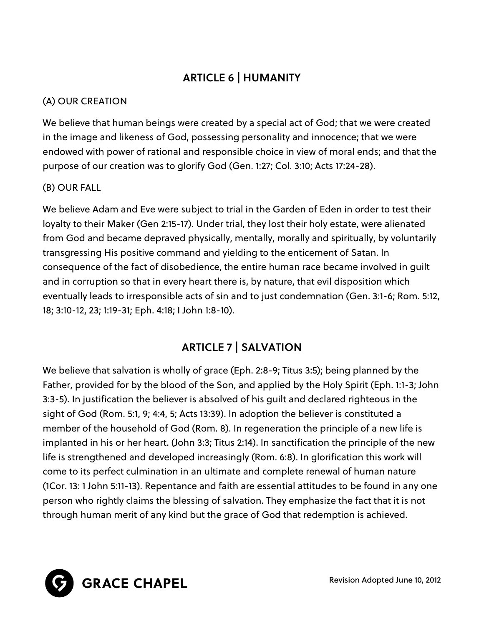## ARTICLE 6 | HUMANITY

#### (A) OUR CREATION

We believe that human beings were created by a special act of God; that we were created in the image and likeness of God, possessing personality and innocence; that we were endowed with power of rational and responsible choice in view of moral ends; and that the purpose of our creation was to glorify God (Gen. 1:27; Col. 3:10; Acts 17:24-28).

#### (B) OUR FALL

We believe Adam and Eve were subject to trial in the Garden of Eden in order to test their loyalty to their Maker (Gen 2:15-17). Under trial, they lost their holy estate, were alienated from God and became depraved physically, mentally, morally and spiritually, by voluntarily transgressing His positive command and yielding to the enticement of Satan. In consequence of the fact of disobedience, the entire human race became involved in guilt and in corruption so that in every heart there is, by nature, that evil disposition which eventually leads to irresponsible acts of sin and to just condemnation (Gen. 3:1-6; Rom. 5:12, 18; 3:10-12, 23; 1:19-31; Eph. 4:18; I John 1:8-10).

## ARTICLE 7 | SALVATION

We believe that salvation is wholly of grace (Eph. 2:8-9; Titus 3:5); being planned by the Father, provided for by the blood of the Son, and applied by the Holy Spirit (Eph. 1:1-3; John 3:3-5). In justification the believer is absolved of his guilt and declared righteous in the sight of God (Rom. 5:1, 9; 4:4, 5; Acts 13:39). In adoption the believer is constituted a member of the household of God (Rom. 8). In regeneration the principle of a new life is implanted in his or her heart. (John 3:3; Titus 2:14). In sanctification the principle of the new life is strengthened and developed increasingly (Rom. 6:8). In glorification this work will come to its perfect culmination in an ultimate and complete renewal of human nature (1Cor. 13: 1 John 5:11-13). Repentance and faith are essential attitudes to be found in any one person who rightly claims the blessing of salvation. They emphasize the fact that it is not through human merit of any kind but the grace of God that redemption is achieved.



Revision Adopted June 10, 2012